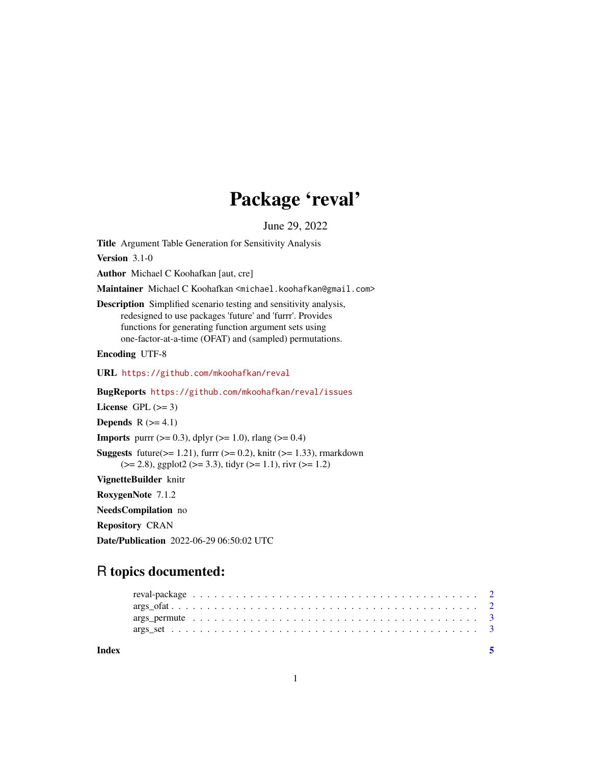## Package 'reval'

June 29, 2022

Title Argument Table Generation for Sensitivity Analysis

Version 3.1-0

Author Michael C Koohafkan [aut, cre]

Maintainer Michael C Koohafkan <michael.koohafkan@gmail.com>

Description Simplified scenario testing and sensitivity analysis, redesigned to use packages 'future' and 'furrr'. Provides functions for generating function argument sets using one-factor-at-a-time (OFAT) and (sampled) permutations.

Encoding UTF-8

URL <https://github.com/mkoohafkan/reval>

BugReports <https://github.com/mkoohafkan/reval/issues>

License GPL  $(>= 3)$ 

Depends  $R$  ( $>= 4.1$ )

**Imports** purrr  $(>= 0.3)$ , dplyr  $(>= 1.0)$ , rlang  $(>= 0.4)$ 

**Suggests** future( $>= 1.21$ ), furrr ( $>= 0.2$ ), knitr ( $>= 1.33$ ), rmarkdown  $(>= 2.8)$ , ggplot $2 (= 3.3)$ , tidyr  $(>= 1.1)$ , rivr  $(>= 1.2)$ 

VignetteBuilder knitr

RoxygenNote 7.1.2

NeedsCompilation no

Repository CRAN

Date/Publication 2022-06-29 06:50:02 UTC

### R topics documented:

| Index |  |  |  |  |  |  |  |  |  |  |  |  |  |  |  |  |  |  |  |
|-------|--|--|--|--|--|--|--|--|--|--|--|--|--|--|--|--|--|--|--|
|       |  |  |  |  |  |  |  |  |  |  |  |  |  |  |  |  |  |  |  |
|       |  |  |  |  |  |  |  |  |  |  |  |  |  |  |  |  |  |  |  |
|       |  |  |  |  |  |  |  |  |  |  |  |  |  |  |  |  |  |  |  |
|       |  |  |  |  |  |  |  |  |  |  |  |  |  |  |  |  |  |  |  |

1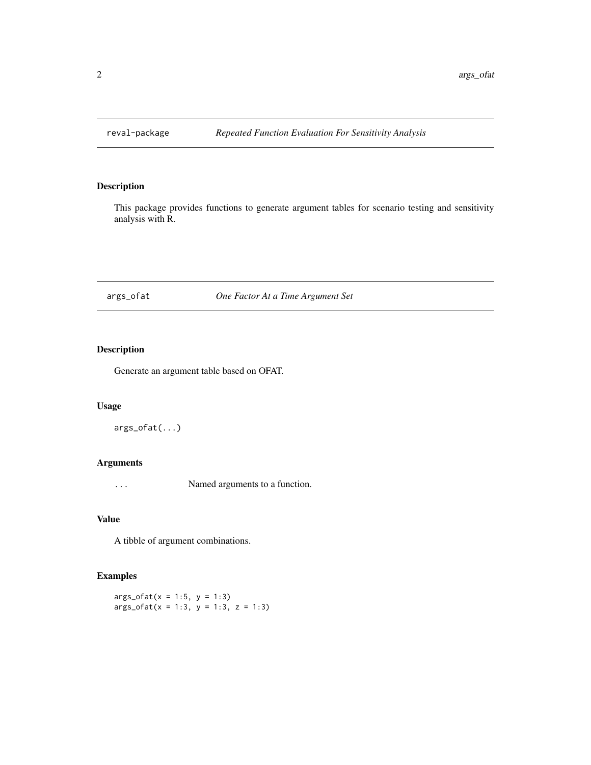<span id="page-1-0"></span>

#### Description

This package provides functions to generate argument tables for scenario testing and sensitivity analysis with R.

args\_ofat *One Factor At a Time Argument Set*

#### Description

Generate an argument table based on OFAT.

#### Usage

args\_ofat(...)

#### Arguments

... Named arguments to a function.

#### Value

A tibble of argument combinations.

#### Examples

 $args_ofat(x = 1:5, y = 1:3)$  $args_ofat(x = 1:3, y = 1:3, z = 1:3)$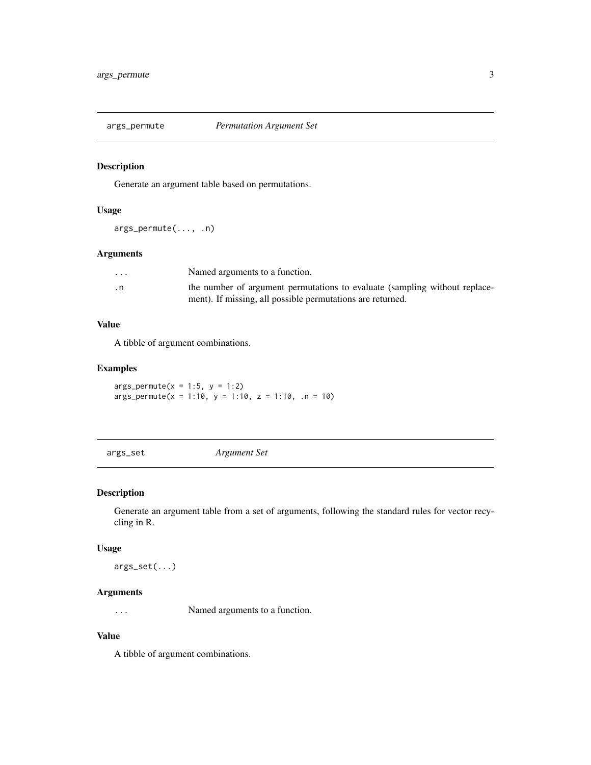<span id="page-2-0"></span>

#### Description

Generate an argument table based on permutations.

#### Usage

args\_permute(..., .n)

#### Arguments

| $\cdot$ $\cdot$ $\cdot$ | Named arguments to a function.                                             |
|-------------------------|----------------------------------------------------------------------------|
| . n                     | the number of argument permutations to evaluate (sampling without replace- |
|                         | ment). If missing, all possible permutations are returned.                 |

#### Value

A tibble of argument combinations.

#### Examples

 $args\_permute(x = 1:5, y = 1:2)$  $args\_permute(x = 1:10, y = 1:10, z = 1:10, .n = 10)$ 

args\_set *Argument Set*

#### Description

Generate an argument table from a set of arguments, following the standard rules for vector recycling in R.

#### Usage

args\_set(...)

#### Arguments

... Named arguments to a function.

#### Value

A tibble of argument combinations.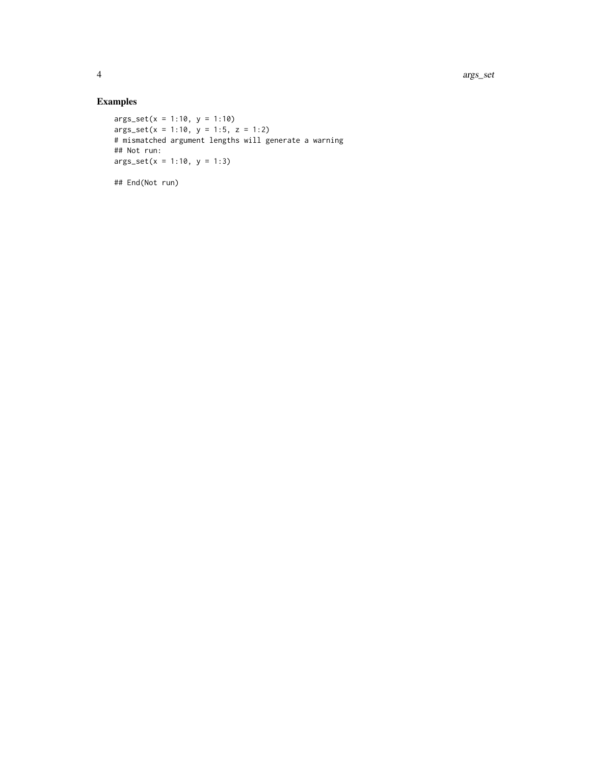#### Examples

```
args_set(x = 1:10, y = 1:10)args_set(x = 1:10, y = 1:5, z = 1:2)# mismatched argument lengths will generate a warning
## Not run:
args_set(x = 1:10, y = 1:3)
```
## End(Not run)